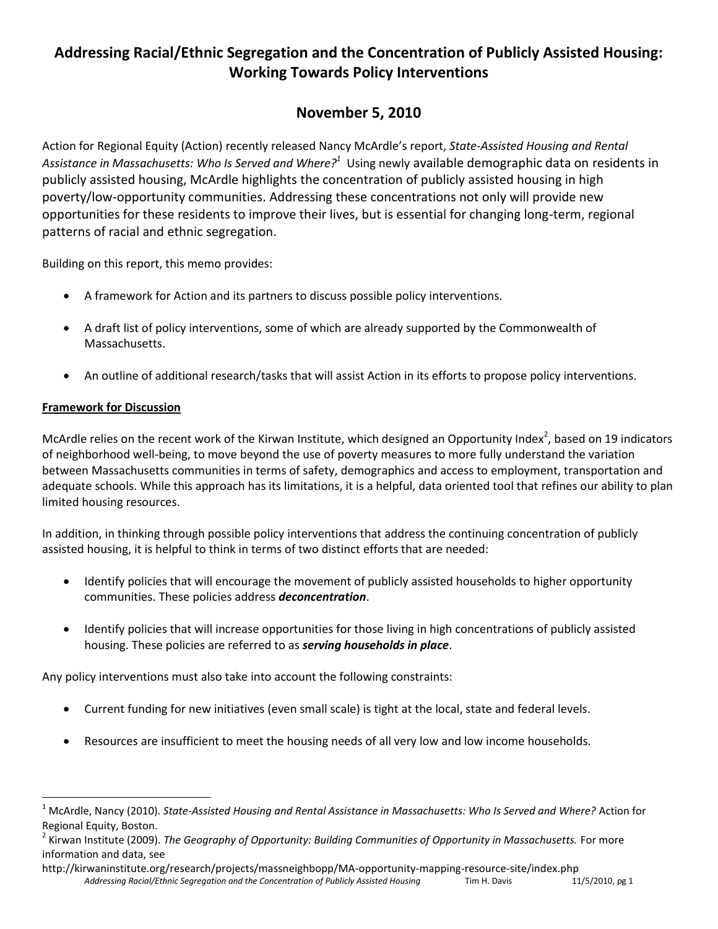# **Addressing Racial/Ethnic Segregation and the Concentration of Publicly Assisted Housing: Working Towards Policy Interventions**

## **November 5, 2010**

Action for Regional Equity (Action) recently released Nancy McArdle's report, *State‐Assisted Housing and Rental*  Assistance in Massachusetts: Who Is Served and Where?<sup>1</sup> Using newly available demographic data on residents in publicly assisted housing, McArdle highlights the concentration of publicly assisted housing in high poverty/low-opportunity communities. Addressing these concentrations not only will provide new opportunities for these residents to improve their lives, but is essential for changing long-term, regional patterns of racial and ethnic segregation.

Building on this report, this memo provides:

- A framework for Action and its partners to discuss possible policy interventions.
- A draft list of policy interventions, some of which are already supported by the Commonwealth of Massachusetts.
- An outline of additional research/tasks that will assist Action in its efforts to propose policy interventions.

## **Framework for Discussion**

 $\overline{\phantom{a}}$ 

McArdle relies on the recent work of the Kirwan Institute, which designed an Opportunity Index<sup>2</sup>, based on 19 indicators of neighborhood well-being, to move beyond the use of poverty measures to more fully understand the variation between Massachusetts communities in terms of safety, demographics and access to employment, transportation and adequate schools. While this approach has its limitations, it is a helpful, data oriented tool that refines our ability to plan limited housing resources.

In addition, in thinking through possible policy interventions that address the continuing concentration of publicly assisted housing, it is helpful to think in terms of two distinct efforts that are needed:

- Identify policies that will encourage the movement of publicly assisted households to higher opportunity communities. These policies address *deconcentration*.
- Identify policies that will increase opportunities for those living in high concentrations of publicly assisted housing. These policies are referred to as *serving households in place*.

Any policy interventions must also take into account the following constraints:

- Current funding for new initiatives (even small scale) is tight at the local, state and federal levels.
- Resources are insufficient to meet the housing needs of all very low and low income households.

<sup>1</sup> McArdle, Nancy (2010). *State-Assisted Housing and Rental Assistance in Massachusetts: Who Is Served and Where?* Action for Regional Equity, Boston.

<sup>&</sup>lt;sup>2</sup> Kirwan Institute (2009). *The Geography of Opportunity: Building Communities of Opportunity in Massachusetts. For more* information and data, see

*Addressing Racial/Ethnic Segregation and the Concentration of Publicly Assisted Housing* Tim H. Davis 11/5/2010, pg 1 http://kirwaninstitute.org/research/projects/massneighbopp/MA-opportunity-mapping-resource-site/index.php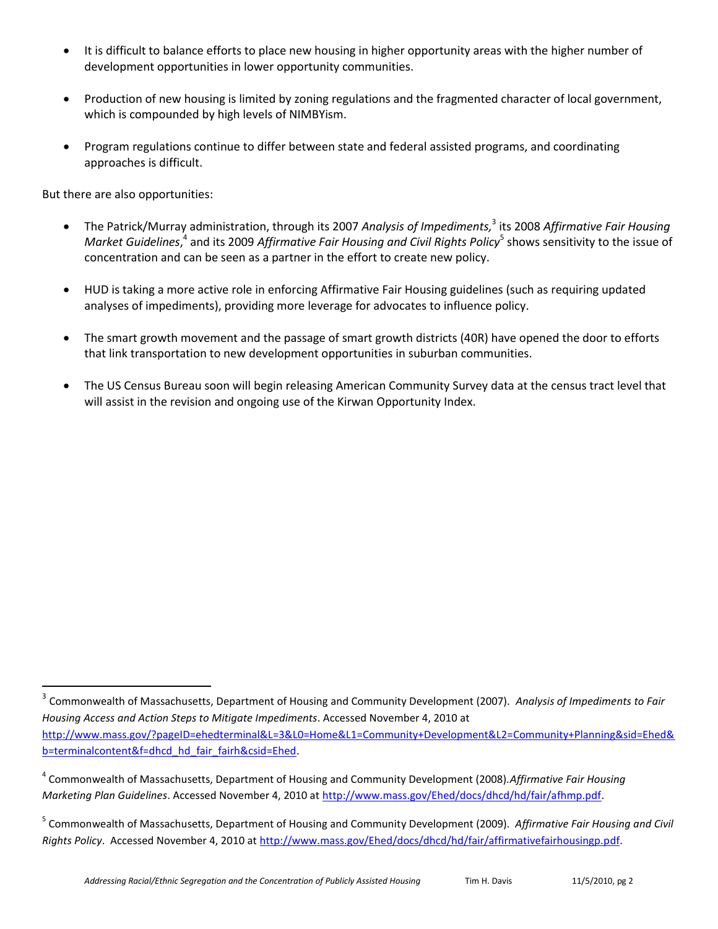- It is difficult to balance efforts to place new housing in higher opportunity areas with the higher number of development opportunities in lower opportunity communities.
- Production of new housing is limited by zoning regulations and the fragmented character of local government, which is compounded by high levels of NIMBYism.
- Program regulations continue to differ between state and federal assisted programs, and coordinating approaches is difficult.

But there are also opportunities:

 $\overline{a}$ 

- The Patrick/Murray administration, through its 2007 *Analysis of Impediments,* 3 its 2008 *Affirmative Fair Housing Market Guidelines,<sup>4</sup> and its 2009 Affirmative Fair Housing and Civil Rights Policy<sup>5</sup> shows sensitivity to the issue of* concentration and can be seen as a partner in the effort to create new policy.
- HUD is taking a more active role in enforcing Affirmative Fair Housing guidelines (such as requiring updated analyses of impediments), providing more leverage for advocates to influence policy.
- The smart growth movement and the passage of smart growth districts (40R) have opened the door to efforts that link transportation to new development opportunities in suburban communities.
- The US Census Bureau soon will begin releasing American Community Survey data at the census tract level that will assist in the revision and ongoing use of the Kirwan Opportunity Index.

<sup>3</sup> Commonwealth of Massachusetts, Department of Housing and Community Development (2007). *Analysis of Impediments to Fair Housing Access and Action Steps to Mitigate Impediments*. Accessed November 4, 2010 at [http://www.mass.gov/?pageID=ehedterminal&L=3&L0=Home&L1=Community+Development&L2=Community+Planning&sid=Ehed&](http://www.mass.gov/?pageID=ehedterminal&L=3&L0=Home&L1=Community+Development&L2=Community+Planning&sid=Ehed&b=terminalcontent&f=dhcd_hd_fair_fairh&csid=Ehed) [b=terminalcontent&f=dhcd\\_hd\\_fair\\_fairh&csid=Ehed.](http://www.mass.gov/?pageID=ehedterminal&L=3&L0=Home&L1=Community+Development&L2=Community+Planning&sid=Ehed&b=terminalcontent&f=dhcd_hd_fair_fairh&csid=Ehed)

<sup>4</sup> Commonwealth of Massachusetts, Department of Housing and Community Development (2008).*Affirmative Fair Housing Marketing Plan Guidelines*. Accessed November 4, 2010 at [http://www.mass.gov/Ehed/docs/dhcd/hd/fair/afhmp.pdf.](http://www.mass.gov/Ehed/docs/dhcd/hd/fair/afhmp.pdf)

<sup>5</sup> Commonwealth of Massachusetts, Department of Housing and Community Development (2009). *Affirmative Fair Housing and Civil Rights Policy*. Accessed November 4, 2010 a[t http://www.mass.gov/Ehed/docs/dhcd/hd/fair/affirmativefairhousingp.pdf.](http://www.mass.gov/Ehed/docs/dhcd/hd/fair/affirmativefairhousingp.pdf)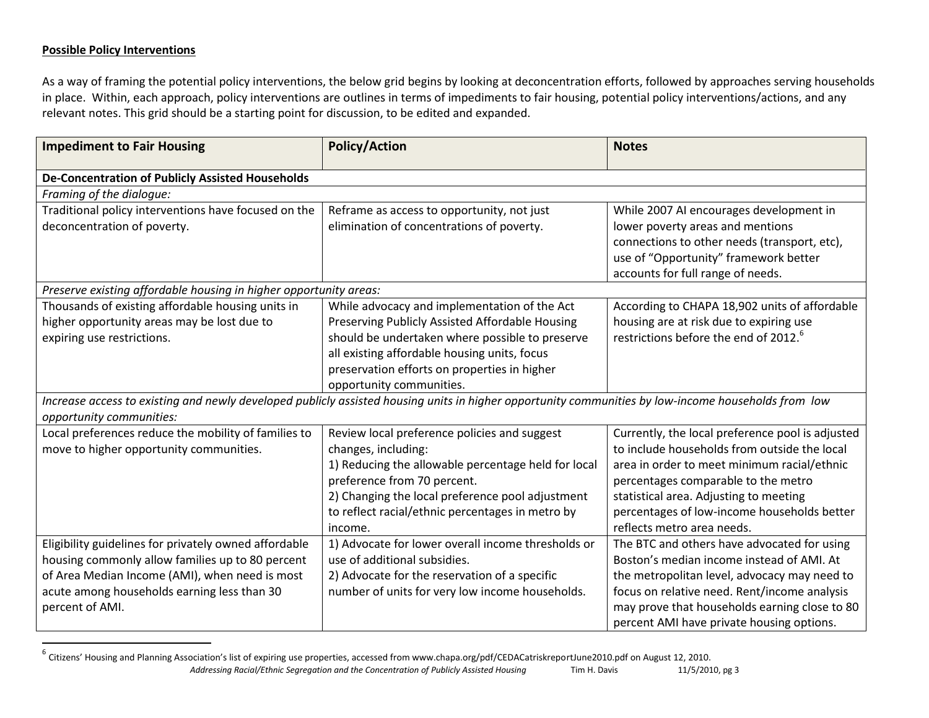#### **Possible Policy Interventions**

 $\overline{\phantom{a}}$ 

As a way of framing the potential policy interventions, the below grid begins by looking at deconcentration efforts, followed by approaches serving households in place. Within, each approach, policy interventions are outlines in terms of impediments to fair housing, potential policy interventions/actions, and any relevant notes. This grid should be a starting point for discussion, to be edited and expanded.

| <b>Impediment to Fair Housing</b>                                 | <b>Policy/Action</b>                                                                                                                                | <b>Notes</b>                                      |  |  |
|-------------------------------------------------------------------|-----------------------------------------------------------------------------------------------------------------------------------------------------|---------------------------------------------------|--|--|
| De-Concentration of Publicly Assisted Households                  |                                                                                                                                                     |                                                   |  |  |
| Framing of the dialogue:                                          |                                                                                                                                                     |                                                   |  |  |
| Traditional policy interventions have focused on the              | Reframe as access to opportunity, not just                                                                                                          | While 2007 AI encourages development in           |  |  |
| deconcentration of poverty.                                       | elimination of concentrations of poverty.                                                                                                           | lower poverty areas and mentions                  |  |  |
|                                                                   |                                                                                                                                                     | connections to other needs (transport, etc),      |  |  |
|                                                                   |                                                                                                                                                     | use of "Opportunity" framework better             |  |  |
|                                                                   |                                                                                                                                                     | accounts for full range of needs.                 |  |  |
| Preserve existing affordable housing in higher opportunity areas: |                                                                                                                                                     |                                                   |  |  |
| Thousands of existing affordable housing units in                 | While advocacy and implementation of the Act                                                                                                        | According to CHAPA 18,902 units of affordable     |  |  |
| higher opportunity areas may be lost due to                       | Preserving Publicly Assisted Affordable Housing                                                                                                     | housing are at risk due to expiring use           |  |  |
| expiring use restrictions.                                        | should be undertaken where possible to preserve                                                                                                     | restrictions before the end of 2012. <sup>6</sup> |  |  |
|                                                                   | all existing affordable housing units, focus                                                                                                        |                                                   |  |  |
|                                                                   | preservation efforts on properties in higher                                                                                                        |                                                   |  |  |
|                                                                   | opportunity communities.                                                                                                                            |                                                   |  |  |
|                                                                   | Increase access to existing and newly developed publicly assisted housing units in higher opportunity communities by low-income households from low |                                                   |  |  |
| opportunity communities:                                          |                                                                                                                                                     |                                                   |  |  |
| Local preferences reduce the mobility of families to              | Review local preference policies and suggest                                                                                                        | Currently, the local preference pool is adjusted  |  |  |
| move to higher opportunity communities.                           | changes, including:                                                                                                                                 | to include households from outside the local      |  |  |
|                                                                   | 1) Reducing the allowable percentage held for local                                                                                                 | area in order to meet minimum racial/ethnic       |  |  |
|                                                                   | preference from 70 percent.                                                                                                                         | percentages comparable to the metro               |  |  |
|                                                                   | 2) Changing the local preference pool adjustment                                                                                                    | statistical area. Adjusting to meeting            |  |  |
|                                                                   | to reflect racial/ethnic percentages in metro by                                                                                                    | percentages of low-income households better       |  |  |
|                                                                   | income.                                                                                                                                             | reflects metro area needs.                        |  |  |
| Eligibility guidelines for privately owned affordable             | 1) Advocate for lower overall income thresholds or                                                                                                  | The BTC and others have advocated for using       |  |  |
| housing commonly allow families up to 80 percent                  | use of additional subsidies.                                                                                                                        | Boston's median income instead of AMI. At         |  |  |
| of Area Median Income (AMI), when need is most                    | 2) Advocate for the reservation of a specific                                                                                                       | the metropolitan level, advocacy may need to      |  |  |
| acute among households earning less than 30                       | number of units for very low income households.                                                                                                     | focus on relative need. Rent/income analysis      |  |  |
| percent of AMI.                                                   |                                                                                                                                                     | may prove that households earning close to 80     |  |  |
|                                                                   |                                                                                                                                                     | percent AMI have private housing options.         |  |  |

*Addressing Racial/Ethnic Segregation and the Concentration of Publicly Assisted Housing* Tim H. Davis 11/5/2010, pg 3 <sup>6</sup> Citizens' Housing and Planning Association's list of expiring use properties, accessed from www.chapa.org/pdf/CEDACatriskreportJune2010.pdf on August 12, 2010.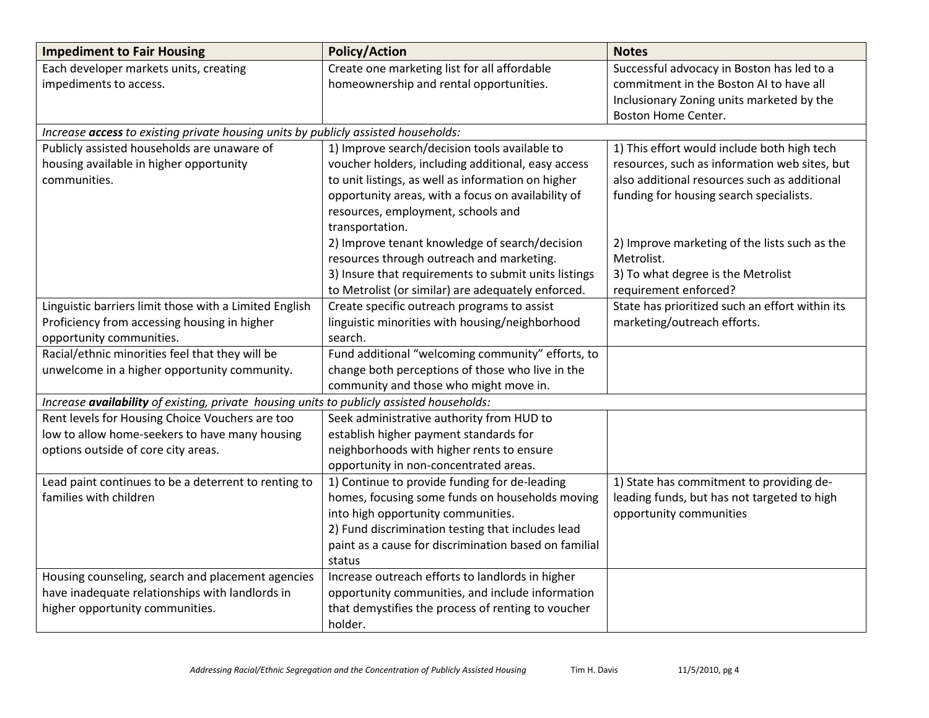| <b>Impediment to Fair Housing</b>                                                         | <b>Policy/Action</b>                                  | <b>Notes</b>                                    |
|-------------------------------------------------------------------------------------------|-------------------------------------------------------|-------------------------------------------------|
| Each developer markets units, creating                                                    | Create one marketing list for all affordable          | Successful advocacy in Boston has led to a      |
| impediments to access.                                                                    | homeownership and rental opportunities.               | commitment in the Boston AI to have all         |
|                                                                                           |                                                       | Inclusionary Zoning units marketed by the       |
|                                                                                           |                                                       | Boston Home Center.                             |
| Increase access to existing private housing units by publicly assisted households:        |                                                       |                                                 |
| Publicly assisted households are unaware of                                               | 1) Improve search/decision tools available to         | 1) This effort would include both high tech     |
| housing available in higher opportunity                                                   | voucher holders, including additional, easy access    | resources, such as information web sites, but   |
| communities.                                                                              | to unit listings, as well as information on higher    | also additional resources such as additional    |
|                                                                                           | opportunity areas, with a focus on availability of    | funding for housing search specialists.         |
|                                                                                           | resources, employment, schools and                    |                                                 |
|                                                                                           | transportation.                                       |                                                 |
|                                                                                           | 2) Improve tenant knowledge of search/decision        | 2) Improve marketing of the lists such as the   |
|                                                                                           | resources through outreach and marketing.             | Metrolist.                                      |
|                                                                                           | 3) Insure that requirements to submit units listings  | 3) To what degree is the Metrolist              |
|                                                                                           | to Metrolist (or similar) are adequately enforced.    | requirement enforced?                           |
| Linguistic barriers limit those with a Limited English                                    | Create specific outreach programs to assist           | State has prioritized such an effort within its |
| Proficiency from accessing housing in higher                                              | linguistic minorities with housing/neighborhood       | marketing/outreach efforts.                     |
| opportunity communities.                                                                  | search.                                               |                                                 |
| Racial/ethnic minorities feel that they will be                                           | Fund additional "welcoming community" efforts, to     |                                                 |
| unwelcome in a higher opportunity community.                                              | change both perceptions of those who live in the      |                                                 |
|                                                                                           | community and those who might move in.                |                                                 |
| Increase availability of existing, private housing units to publicly assisted households: |                                                       |                                                 |
| Rent levels for Housing Choice Vouchers are too                                           | Seek administrative authority from HUD to             |                                                 |
| low to allow home-seekers to have many housing                                            | establish higher payment standards for                |                                                 |
| options outside of core city areas.                                                       | neighborhoods with higher rents to ensure             |                                                 |
|                                                                                           | opportunity in non-concentrated areas.                |                                                 |
| Lead paint continues to be a deterrent to renting to                                      | 1) Continue to provide funding for de-leading         | 1) State has commitment to providing de-        |
| families with children                                                                    | homes, focusing some funds on households moving       | leading funds, but has not targeted to high     |
|                                                                                           | into high opportunity communities.                    | opportunity communities                         |
|                                                                                           | 2) Fund discrimination testing that includes lead     |                                                 |
|                                                                                           | paint as a cause for discrimination based on familial |                                                 |
|                                                                                           | status                                                |                                                 |
| Housing counseling, search and placement agencies                                         | Increase outreach efforts to landlords in higher      |                                                 |
| have inadequate relationships with landlords in                                           | opportunity communities, and include information      |                                                 |
| higher opportunity communities.                                                           | that demystifies the process of renting to voucher    |                                                 |
|                                                                                           | holder.                                               |                                                 |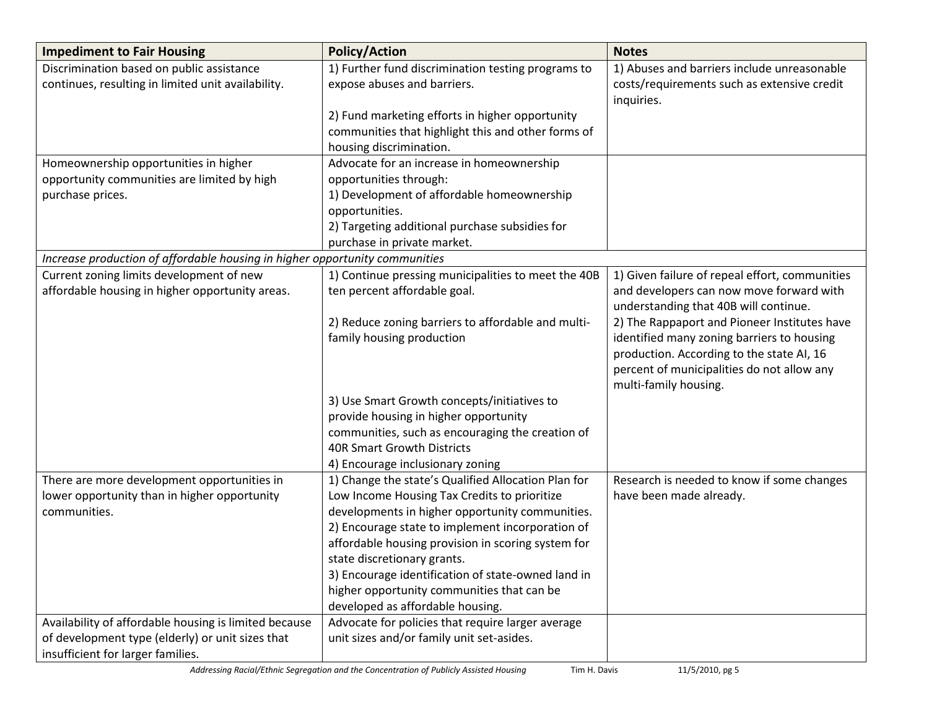| <b>Impediment to Fair Housing</b>                                                           | <b>Policy/Action</b>                                                                                | <b>Notes</b>                                   |
|---------------------------------------------------------------------------------------------|-----------------------------------------------------------------------------------------------------|------------------------------------------------|
| Discrimination based on public assistance                                                   | 1) Further fund discrimination testing programs to                                                  | 1) Abuses and barriers include unreasonable    |
| continues, resulting in limited unit availability.                                          | expose abuses and barriers.                                                                         | costs/requirements such as extensive credit    |
|                                                                                             |                                                                                                     | inquiries.                                     |
|                                                                                             | 2) Fund marketing efforts in higher opportunity                                                     |                                                |
|                                                                                             | communities that highlight this and other forms of                                                  |                                                |
|                                                                                             | housing discrimination.                                                                             |                                                |
| Homeownership opportunities in higher                                                       | Advocate for an increase in homeownership                                                           |                                                |
| opportunity communities are limited by high                                                 | opportunities through:                                                                              |                                                |
| purchase prices.                                                                            | 1) Development of affordable homeownership                                                          |                                                |
|                                                                                             | opportunities.                                                                                      |                                                |
|                                                                                             | 2) Targeting additional purchase subsidies for                                                      |                                                |
|                                                                                             | purchase in private market.                                                                         |                                                |
| Increase production of affordable housing in higher opportunity communities                 |                                                                                                     |                                                |
| Current zoning limits development of new                                                    | 1) Continue pressing municipalities to meet the 40B                                                 | 1) Given failure of repeal effort, communities |
| affordable housing in higher opportunity areas.                                             | ten percent affordable goal.                                                                        | and developers can now move forward with       |
|                                                                                             |                                                                                                     | understanding that 40B will continue.          |
|                                                                                             | 2) Reduce zoning barriers to affordable and multi-                                                  | 2) The Rappaport and Pioneer Institutes have   |
|                                                                                             | family housing production                                                                           | identified many zoning barriers to housing     |
|                                                                                             |                                                                                                     | production. According to the state AI, 16      |
|                                                                                             |                                                                                                     | percent of municipalities do not allow any     |
|                                                                                             |                                                                                                     | multi-family housing.                          |
|                                                                                             | 3) Use Smart Growth concepts/initiatives to                                                         |                                                |
|                                                                                             | provide housing in higher opportunity                                                               |                                                |
|                                                                                             | communities, such as encouraging the creation of<br><b>40R Smart Growth Districts</b>               |                                                |
|                                                                                             |                                                                                                     |                                                |
|                                                                                             | 4) Encourage inclusionary zoning                                                                    | Research is needed to know if some changes     |
| There are more development opportunities in<br>lower opportunity than in higher opportunity | 1) Change the state's Qualified Allocation Plan for<br>Low Income Housing Tax Credits to prioritize | have been made already.                        |
| communities.                                                                                | developments in higher opportunity communities.                                                     |                                                |
|                                                                                             | 2) Encourage state to implement incorporation of                                                    |                                                |
|                                                                                             | affordable housing provision in scoring system for                                                  |                                                |
|                                                                                             | state discretionary grants.                                                                         |                                                |
|                                                                                             | 3) Encourage identification of state-owned land in                                                  |                                                |
|                                                                                             | higher opportunity communities that can be                                                          |                                                |
|                                                                                             | developed as affordable housing.                                                                    |                                                |
| Availability of affordable housing is limited because                                       | Advocate for policies that require larger average                                                   |                                                |
| of development type (elderly) or unit sizes that                                            | unit sizes and/or family unit set-asides.                                                           |                                                |
| insufficient for larger families.                                                           |                                                                                                     |                                                |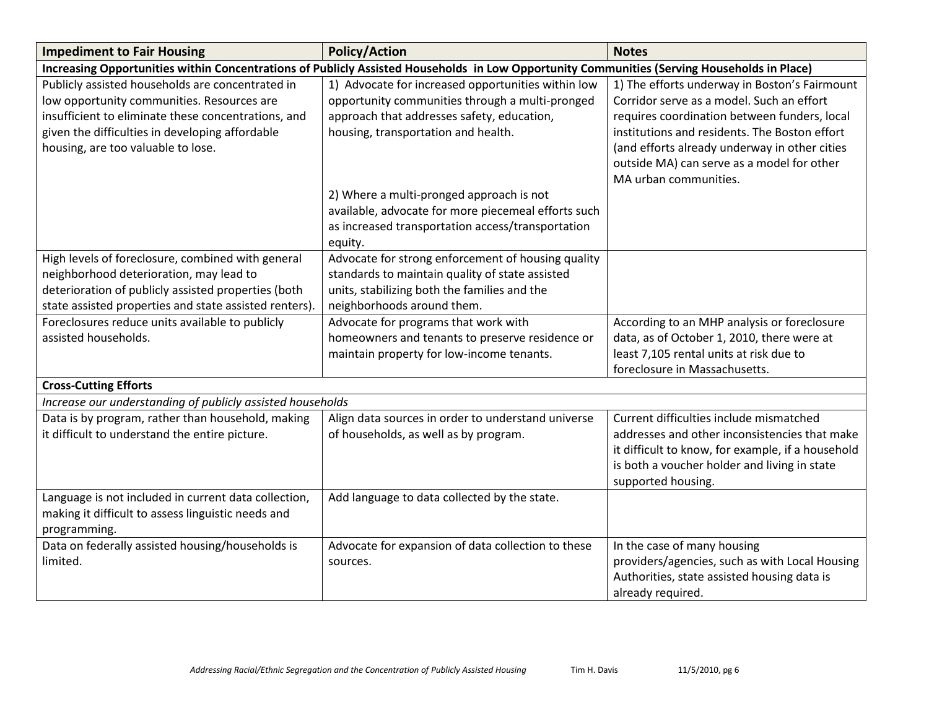| <b>Impediment to Fair Housing</b>                          | <b>Policy/Action</b>                                                                                                                        | <b>Notes</b>                                      |
|------------------------------------------------------------|---------------------------------------------------------------------------------------------------------------------------------------------|---------------------------------------------------|
|                                                            | Increasing Opportunities within Concentrations of Publicly Assisted Households in Low Opportunity Communities (Serving Households in Place) |                                                   |
| Publicly assisted households are concentrated in           | 1) Advocate for increased opportunities within low                                                                                          | 1) The efforts underway in Boston's Fairmount     |
| low opportunity communities. Resources are                 | opportunity communities through a multi-pronged                                                                                             | Corridor serve as a model. Such an effort         |
| insufficient to eliminate these concentrations, and        | approach that addresses safety, education,                                                                                                  | requires coordination between funders, local      |
| given the difficulties in developing affordable            | housing, transportation and health.                                                                                                         | institutions and residents. The Boston effort     |
| housing, are too valuable to lose.                         |                                                                                                                                             | (and efforts already underway in other cities     |
|                                                            |                                                                                                                                             | outside MA) can serve as a model for other        |
|                                                            |                                                                                                                                             | MA urban communities.                             |
|                                                            | 2) Where a multi-pronged approach is not                                                                                                    |                                                   |
|                                                            | available, advocate for more piecemeal efforts such                                                                                         |                                                   |
|                                                            | as increased transportation access/transportation                                                                                           |                                                   |
|                                                            | equity.                                                                                                                                     |                                                   |
| High levels of foreclosure, combined with general          | Advocate for strong enforcement of housing quality                                                                                          |                                                   |
| neighborhood deterioration, may lead to                    | standards to maintain quality of state assisted                                                                                             |                                                   |
| deterioration of publicly assisted properties (both        | units, stabilizing both the families and the                                                                                                |                                                   |
| state assisted properties and state assisted renters)      | neighborhoods around them.                                                                                                                  |                                                   |
| Foreclosures reduce units available to publicly            | Advocate for programs that work with                                                                                                        | According to an MHP analysis or foreclosure       |
| assisted households.                                       | homeowners and tenants to preserve residence or                                                                                             | data, as of October 1, 2010, there were at        |
|                                                            | maintain property for low-income tenants.                                                                                                   | least 7,105 rental units at risk due to           |
|                                                            |                                                                                                                                             | foreclosure in Massachusetts.                     |
| <b>Cross-Cutting Efforts</b>                               |                                                                                                                                             |                                                   |
| Increase our understanding of publicly assisted households |                                                                                                                                             |                                                   |
| Data is by program, rather than household, making          | Align data sources in order to understand universe                                                                                          | Current difficulties include mismatched           |
| it difficult to understand the entire picture.             | of households, as well as by program.                                                                                                       | addresses and other inconsistencies that make     |
|                                                            |                                                                                                                                             | it difficult to know, for example, if a household |
|                                                            |                                                                                                                                             | is both a voucher holder and living in state      |
|                                                            |                                                                                                                                             | supported housing.                                |
| Language is not included in current data collection,       | Add language to data collected by the state.                                                                                                |                                                   |
| making it difficult to assess linguistic needs and         |                                                                                                                                             |                                                   |
| programming.                                               |                                                                                                                                             |                                                   |
| Data on federally assisted housing/households is           | Advocate for expansion of data collection to these                                                                                          | In the case of many housing                       |
| limited.                                                   | sources.                                                                                                                                    | providers/agencies, such as with Local Housing    |
|                                                            |                                                                                                                                             | Authorities, state assisted housing data is       |
|                                                            |                                                                                                                                             | already required.                                 |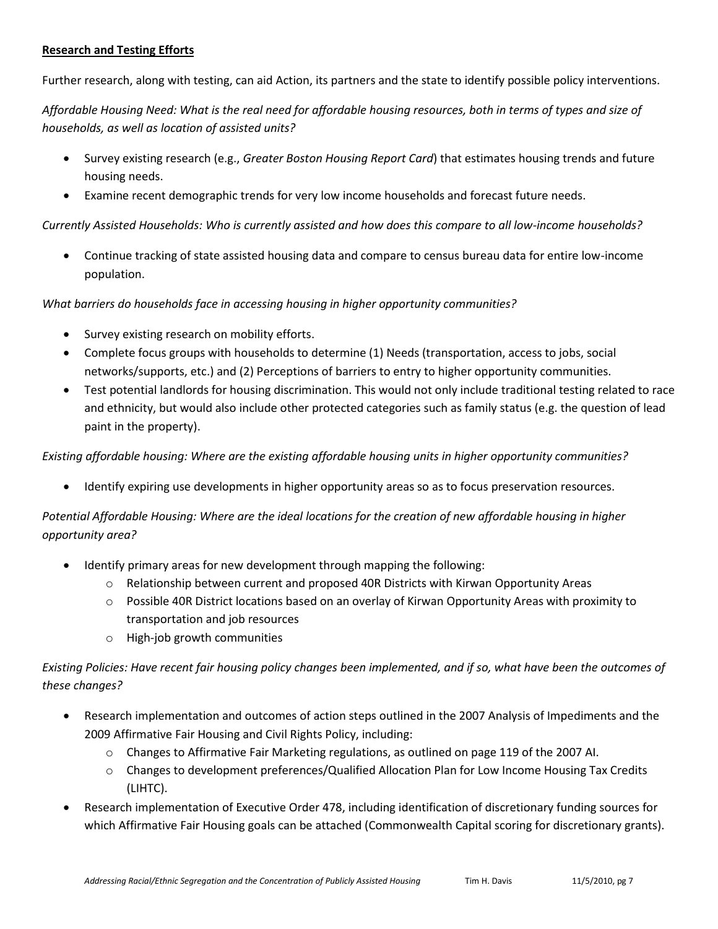### **Research and Testing Efforts**

Further research, along with testing, can aid Action, its partners and the state to identify possible policy interventions.

*Affordable Housing Need: What is the real need for affordable housing resources, both in terms of types and size of households, as well as location of assisted units?*

- Survey existing research (e.g., *Greater Boston Housing Report Card*) that estimates housing trends and future housing needs.
- Examine recent demographic trends for very low income households and forecast future needs.

*Currently Assisted Households: Who is currently assisted and how does this compare to all low-income households?*

 Continue tracking of state assisted housing data and compare to census bureau data for entire low-income population.

*What barriers do households face in accessing housing in higher opportunity communities?*

- Survey existing research on mobility efforts.
- Complete focus groups with households to determine (1) Needs (transportation, access to jobs, social networks/supports, etc.) and (2) Perceptions of barriers to entry to higher opportunity communities.
- Test potential landlords for housing discrimination. This would not only include traditional testing related to race and ethnicity, but would also include other protected categories such as family status (e.g. the question of lead paint in the property).

*Existing affordable housing: Where are the existing affordable housing units in higher opportunity communities?*

Identify expiring use developments in higher opportunity areas so as to focus preservation resources.

*Potential Affordable Housing: Where are the ideal locations for the creation of new affordable housing in higher opportunity area?*

- Identify primary areas for new development through mapping the following:
	- o Relationship between current and proposed 40R Districts with Kirwan Opportunity Areas
	- o Possible 40R District locations based on an overlay of Kirwan Opportunity Areas with proximity to transportation and job resources
	- o High-job growth communities

*Existing Policies: Have recent fair housing policy changes been implemented, and if so, what have been the outcomes of these changes?*

- Research implementation and outcomes of action steps outlined in the 2007 Analysis of Impediments and the 2009 Affirmative Fair Housing and Civil Rights Policy, including:
	- $\circ$  Changes to Affirmative Fair Marketing regulations, as outlined on page 119 of the 2007 AI.
	- o Changes to development preferences/Qualified Allocation Plan for Low Income Housing Tax Credits (LIHTC).
- Research implementation of Executive Order 478, including identification of discretionary funding sources for which Affirmative Fair Housing goals can be attached (Commonwealth Capital scoring for discretionary grants).